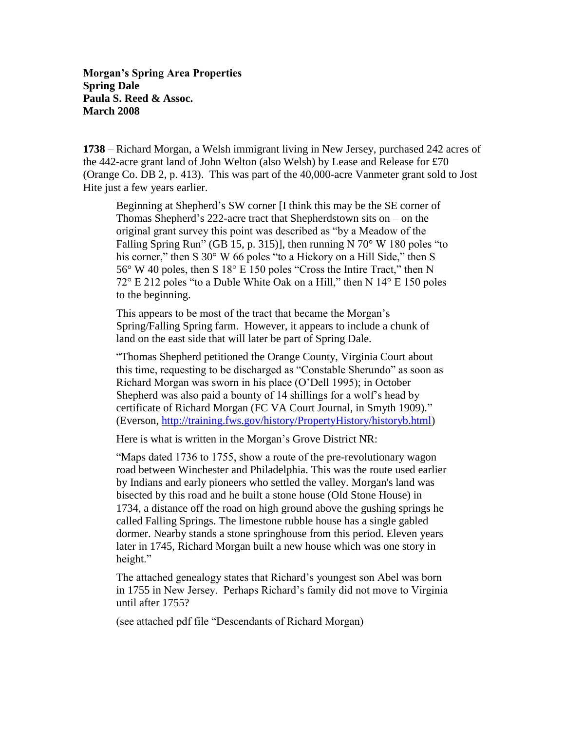**Morgan's Spring Area Properties Spring Dale Paula S. Reed & Assoc. March 2008**

**1738** – Richard Morgan, a Welsh immigrant living in New Jersey, purchased 242 acres of the 442-acre grant land of John Welton (also Welsh) by Lease and Release for £70 (Orange Co. DB 2, p. 413). This was part of the 40,000-acre Vanmeter grant sold to Jost Hite just a few years earlier.

Beginning at Shepherd's SW corner [I think this may be the SE corner of Thomas Shepherd's 222-acre tract that Shepherdstown sits on – on the original grant survey this point was described as "by a Meadow of the Falling Spring Run" (GB 15, p. 315)], then running N 70 $\degree$  W 180 poles "to his corner," then S 30° W 66 poles "to a Hickory on a Hill Side," then S 56° W 40 poles, then S 18° E 150 poles "Cross the Intire Tract," then N 72° E 212 poles "to a Duble White Oak on a Hill," then N 14° E 150 poles to the beginning.

This appears to be most of the tract that became the Morgan's Spring/Falling Spring farm. However, it appears to include a chunk of land on the east side that will later be part of Spring Dale.

"Thomas Shepherd petitioned the Orange County, Virginia Court about this time, requesting to be discharged as "Constable Sherundo" as soon as Richard Morgan was sworn in his place (O'Dell 1995); in October Shepherd was also paid a bounty of 14 shillings for a wolf's head by certificate of Richard Morgan (FC VA Court Journal, in Smyth 1909)." (Everson, [http://training.fws.gov/history/PropertyHistory/historyb.html\)](http://training.fws.gov/history/PropertyHistory/historyb.html)

Here is what is written in the Morgan's Grove District NR:

"Maps dated 1736 to 1755, show a route of the pre-revolutionary wagon road between Winchester and Philadelphia. This was the route used earlier by Indians and early pioneers who settled the valley. Morgan's land was bisected by this road and he built a stone house (Old Stone House) in 1734, a distance off the road on high ground above the gushing springs he called Falling Springs. The limestone rubble house has a single gabled dormer. Nearby stands a stone springhouse from this period. Eleven years later in 1745, Richard Morgan built a new house which was one story in height."

The attached genealogy states that Richard's youngest son Abel was born in 1755 in New Jersey. Perhaps Richard's family did not move to Virginia until after 1755?

(see attached pdf file "Descendants of Richard Morgan)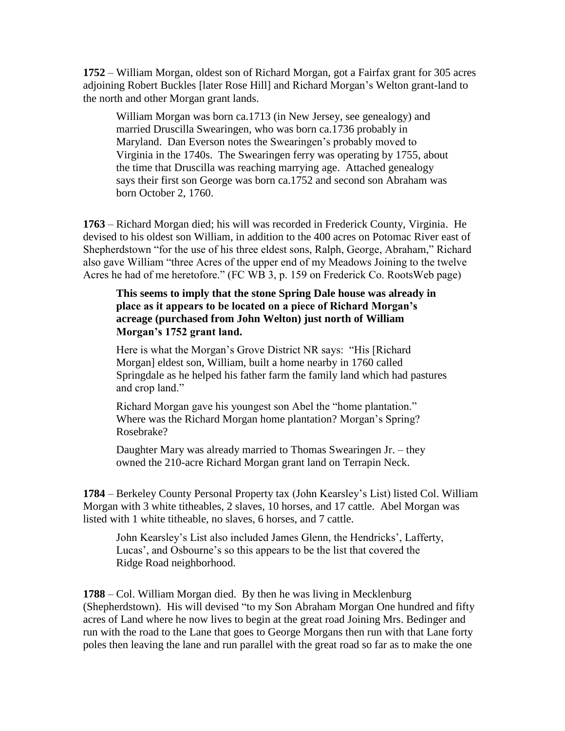**1752** – William Morgan, oldest son of Richard Morgan, got a Fairfax grant for 305 acres adjoining Robert Buckles [later Rose Hill] and Richard Morgan's Welton grant-land to the north and other Morgan grant lands.

William Morgan was born ca.1713 (in New Jersey, see genealogy) and married Druscilla Swearingen, who was born ca.1736 probably in Maryland. Dan Everson notes the Swearingen's probably moved to Virginia in the 1740s. The Swearingen ferry was operating by 1755, about the time that Druscilla was reaching marrying age. Attached genealogy says their first son George was born ca.1752 and second son Abraham was born October 2, 1760.

**1763** – Richard Morgan died; his will was recorded in Frederick County, Virginia. He devised to his oldest son William, in addition to the 400 acres on Potomac River east of Shepherdstown "for the use of his three eldest sons, Ralph, George, Abraham," Richard also gave William "three Acres of the upper end of my Meadows Joining to the twelve Acres he had of me heretofore." (FC WB 3, p. 159 on Frederick Co. RootsWeb page)

## **This seems to imply that the stone Spring Dale house was already in place as it appears to be located on a piece of Richard Morgan's acreage (purchased from John Welton) just north of William Morgan's 1752 grant land.**

Here is what the Morgan's Grove District NR says: "His [Richard Morgan] eldest son, William, built a home nearby in 1760 called Springdale as he helped his father farm the family land which had pastures and crop land."

Richard Morgan gave his youngest son Abel the "home plantation." Where was the Richard Morgan home plantation? Morgan's Spring? Rosebrake?

Daughter Mary was already married to Thomas Swearingen Jr. – they owned the 210-acre Richard Morgan grant land on Terrapin Neck.

**1784** – Berkeley County Personal Property tax (John Kearsley's List) listed Col. William Morgan with 3 white titheables, 2 slaves, 10 horses, and 17 cattle. Abel Morgan was listed with 1 white titheable, no slaves, 6 horses, and 7 cattle.

John Kearsley's List also included James Glenn, the Hendricks', Lafferty, Lucas', and Osbourne's so this appears to be the list that covered the Ridge Road neighborhood.

**1788** – Col. William Morgan died. By then he was living in Mecklenburg (Shepherdstown). His will devised "to my Son Abraham Morgan One hundred and fifty acres of Land where he now lives to begin at the great road Joining Mrs. Bedinger and run with the road to the Lane that goes to George Morgans then run with that Lane forty poles then leaving the lane and run parallel with the great road so far as to make the one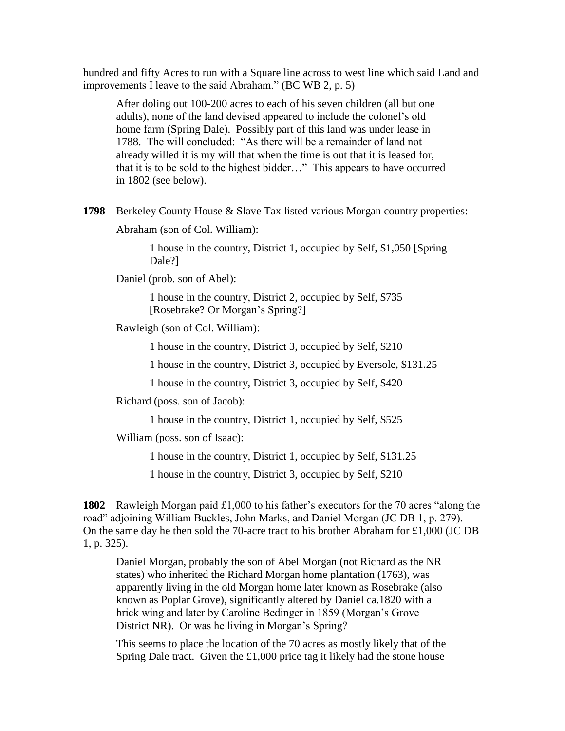hundred and fifty Acres to run with a Square line across to west line which said Land and improvements I leave to the said Abraham." (BC WB 2, p. 5)

After doling out 100-200 acres to each of his seven children (all but one adults), none of the land devised appeared to include the colonel's old home farm (Spring Dale). Possibly part of this land was under lease in 1788. The will concluded: "As there will be a remainder of land not already willed it is my will that when the time is out that it is leased for, that it is to be sold to the highest bidder…" This appears to have occurred in 1802 (see below).

**1798** – Berkeley County House & Slave Tax listed various Morgan country properties:

Abraham (son of Col. William):

1 house in the country, District 1, occupied by Self, \$1,050 [Spring Dale?]

Daniel (prob. son of Abel):

1 house in the country, District 2, occupied by Self, \$735 [Rosebrake? Or Morgan's Spring?]

Rawleigh (son of Col. William):

1 house in the country, District 3, occupied by Self, \$210

1 house in the country, District 3, occupied by Eversole, \$131.25

1 house in the country, District 3, occupied by Self, \$420

Richard (poss. son of Jacob):

1 house in the country, District 1, occupied by Self, \$525

William (poss. son of Isaac):

1 house in the country, District 1, occupied by Self, \$131.25

1 house in the country, District 3, occupied by Self, \$210

**1802** – Rawleigh Morgan paid £1,000 to his father's executors for the 70 acres "along the road" adjoining William Buckles, John Marks, and Daniel Morgan (JC DB 1, p. 279). On the same day he then sold the 70-acre tract to his brother Abraham for £1,000 (JC DB 1, p. 325).

Daniel Morgan, probably the son of Abel Morgan (not Richard as the NR states) who inherited the Richard Morgan home plantation (1763), was apparently living in the old Morgan home later known as Rosebrake (also known as Poplar Grove), significantly altered by Daniel ca.1820 with a brick wing and later by Caroline Bedinger in 1859 (Morgan's Grove District NR). Or was he living in Morgan's Spring?

This seems to place the location of the 70 acres as mostly likely that of the Spring Dale tract. Given the  $£1,000$  price tag it likely had the stone house